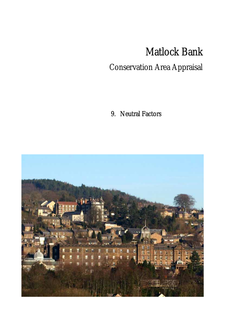## Matlock Bank

## Conservation Area Appraisal

9. Neutral Factors